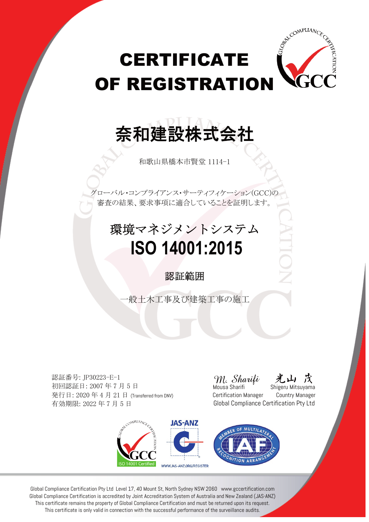# **CERTIFICATE** OF REGISTRATION

## 奈和建設株式会社

和歌山県橋本市賢堂 1114-1

グローバル・コンプライアンス・サーティフィケーション(GCC)の 審査の結果、要求事項に適合していることを証明します。

### 環境マネジメントシステム  **ISO 14001:2015**

#### 認証範囲

一般土木工事及び建築工事の施工

認証番号: JP30223-E-1 初回認証日: 2007 年 7 月 5 日 発行日: 2020 年 4 月 21 日 (Transferred from DNV) 有効期限: 2022 年 7 月 5 日

M. Sharifi

ATIC

CO<sup>MPLIAN</sup>C

Mousa Sharifi  $\overline{\hspace{1cm}}$  Shigeru Mitsuyama Certification Manager Country Manager Global Compliance Certification Pty Ltd



Global Compliance Certification Pty Ltd Level 17, 40 Mount St, North Sydney NSW 2060 www.gccertification.com Global Compliance Certification is accredited by Joint Accreditation System of Australia and New Zealand (JAS-ANZ) This certificate remains the property of Global Compliance Certification and must be returned upon its request. This certificate is only valid in connection with the successful performance of the surveillance audits.